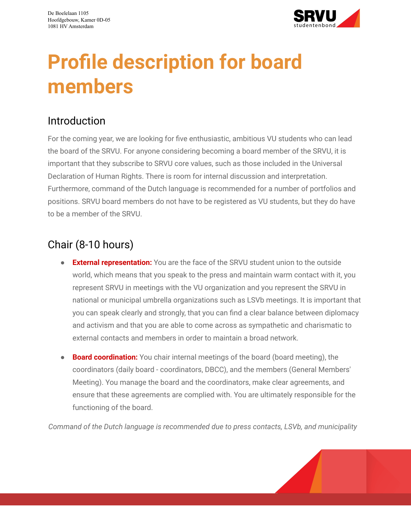

# **Profile description for board members**

## Introduction

For the coming year, we are looking for five enthusiastic, ambitious VU students who can lead the board of the SRVU. For anyone considering becoming a board member of the SRVU, it is important that they subscribe to SRVU core values, such as those included in the Universal Declaration of Human Rights. There is room for internal discussion and interpretation. Furthermore, command of the Dutch language is recommended for a number of portfolios and positions. SRVU board members do not have to be registered as VU students, but they do have to be a member of the SRVU.

# Chair (8-10 hours)

- **External representation:** You are the face of the SRVU student union to the outside world, which means that you speak to the press and maintain warm contact with it, you represent SRVU in meetings with the VU organization and you represent the SRVU in national or municipal umbrella organizations such as LSVb meetings. It is important that you can speak clearly and strongly, that you can find a clear balance between diplomacy and activism and that you are able to come across as sympathetic and charismatic to external contacts and members in order to maintain a broad network.
- **Board coordination:** You chair internal meetings of the board (board meeting), the coordinators (daily board - coordinators, DBCC), and the members (General Members' Meeting). You manage the board and the coordinators, make clear agreements, and ensure that these agreements are complied with. You are ultimately responsible for the functioning of the board.

*Command of the Dutch language is recommended due to press contacts, LSVb, and municipality*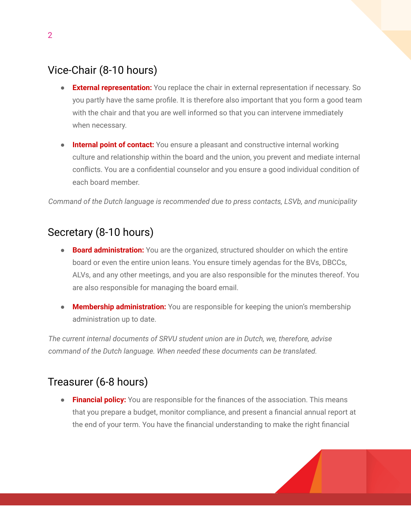# Vice-Chair (8-10 hours)

- **External representation:** You replace the chair in external representation if necessary. So you partly have the same profile. It is therefore also important that you form a good team with the chair and that you are well informed so that you can intervene immediately when necessary.
- **● Internal point of contact:** You ensure a pleasant and constructive internal working culture and relationship within the board and the union, you prevent and mediate internal conflicts. You are a confidential counselor and you ensure a good individual condition of each board member.

*Command of the Dutch language is recommended due to press contacts, LSVb, and municipality*

#### Secretary (8-10 hours)

- **Board administration:** You are the organized, structured shoulder on which the entire board or even the entire union leans. You ensure timely agendas for the BVs, DBCCs, ALVs, and any other meetings, and you are also responsible for the minutes thereof. You are also responsible for managing the board email.
- **Membership administration:** You are responsible for keeping the union's membership administration up to date.

*The current internal documents of SRVU student union are in Dutch, we, therefore, advise command of the Dutch language. When needed these documents can be translated.*

#### Treasurer (6-8 hours)

● **Financial policy:** You are responsible for the finances of the association. This means that you prepare a budget, monitor compliance, and present a financial annual report at the end of your term. You have the financial understanding to make the right financial

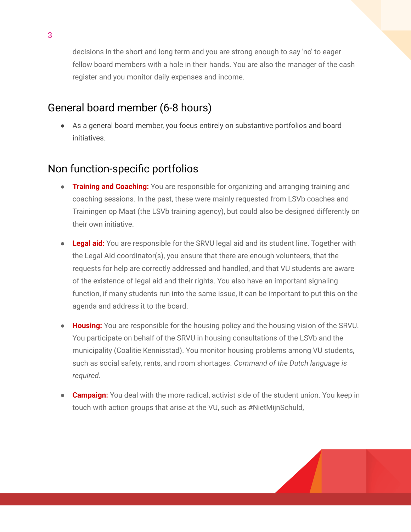decisions in the short and long term and you are strong enough to say 'no' to eager fellow board members with a hole in their hands. You are also the manager of the cash register and you monitor daily expenses and income.

## General board member (6-8 hours)

● As a general board member, you focus entirely on substantive portfolios and board initiatives.

# Non function-specific portfolios

- **Training and Coaching:** You are responsible for organizing and arranging training and coaching sessions. In the past, these were mainly requested from LSVb coaches and Trainingen op Maat (the LSVb training agency), but could also be designed differently on their own initiative.
- **● Legal aid:** You are responsible for the SRVU legal aid and its student line. Together with the Legal Aid coordinator(s), you ensure that there are enough volunteers, that the requests for help are correctly addressed and handled, and that VU students are aware of the existence of legal aid and their rights. You also have an important signaling function, if many students run into the same issue, it can be important to put this on the agenda and address it to the board.
- **Housing:** You are responsible for the housing policy and the housing vision of the SRVU. You participate on behalf of the SRVU in housing consultations of the LSVb and the municipality (Coalitie Kennisstad). You monitor housing problems among VU students, such as social safety, rents, and room shortages. *Command of the Dutch language is required.*
- **Campaign:** You deal with the more radical, activist side of the student union. You keep in touch with action groups that arise at the VU, such as #NietMijnSchuld,

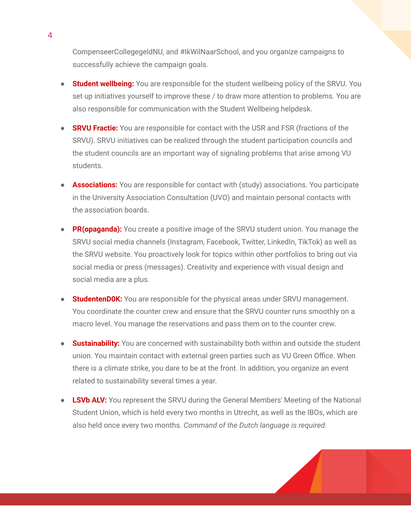CompenseerCollegegeldNU, and #IkWilNaarSchool, and you organize campaigns to successfully achieve the campaign goals.

- **Student wellbeing:** You are responsible for the student wellbeing policy of the SRVU. You set up initiatives yourself to improve these / to draw more attention to problems. You are also responsible for communication with the Student Wellbeing helpdesk.
- **SRVU Fractie:** You are responsible for contact with the USR and FSR (fractions of the SRVU). SRVU initiatives can be realized through the student participation councils and the student councils are an important way of signaling problems that arise among VU students.
- **Associations:** You are responsible for contact with (study) associations. You participate in the University Association Consultation (UVO) and maintain personal contacts with the association boards.
- **PR(opaganda):** You create a positive image of the SRVU student union. You manage the SRVU social media channels (Instagram, Facebook, Twitter, LinkedIn, TikTok) as well as the SRVU website. You proactively look for topics within other portfolios to bring out via social media or press (messages). Creativity and experience with visual design and social media are a plus.
- **StudentenDOK:** You are responsible for the physical areas under SRVU management. You coordinate the counter crew and ensure that the SRVU counter runs smoothly on a macro level. You manage the reservations and pass them on to the counter crew.
- **Sustainability:** You are concerned with sustainability both within and outside the student union. You maintain contact with external green parties such as VU Green Office. When there is a climate strike, you dare to be at the front. In addition, you organize an event related to sustainability several times a year.
- **● LSVb ALV:** You represent the SRVU during the General Members' Meeting of the National Student Union, which is held every two months in Utrecht, as well as the IBOs, which are also held once every two months. *Command of the Dutch language is required.*